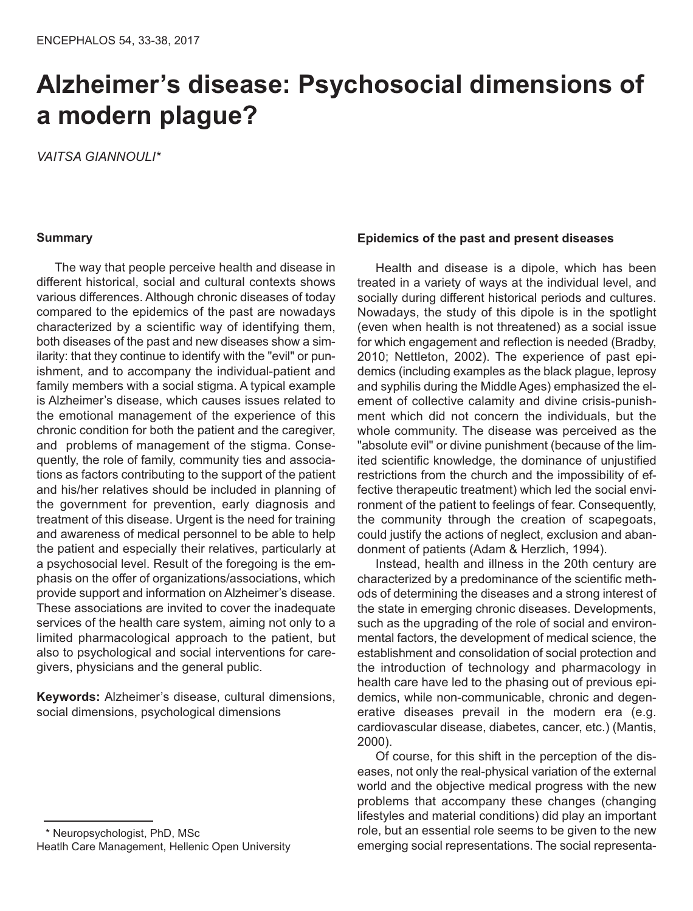# **Alzheimer's disease: Psychosocial dimensions of a modern plague?**

*VAITSA GIANNOULI\**

#### **Summary**

The way that people perceive health and disease in different historical, social and cultural contexts shows various differences. Although chronic diseases of today compared to the epidemics of the past are nowadays characterized by a scientific way of identifying them, both diseases of the past and new diseases show a similarity: that they continue to identify with the "evil" or punishment, and to accompany the individual-patient and family members with a social stigma. A typical example is Alzheimer's disease, which causes issues related to the emotional management of the experience of this chronic condition for both the patient and the caregiver, and problems of management of the stigma. Consequently, the role of family, community ties and associations as factors contributing to the support of the patient and his/her relatives should be included in planning of the government for prevention, early diagnosis and treatment of this disease. Urgent is the need for training and awareness of medical personnel to be able to help the patient and especially their relatives, particularly at a psychosocial level. Result of the foregoing is the emphasis on the offer of organizations/associations, which provide support and information on Alzheimer's disease. These associations are invited to cover the inadequate services of the health care system, aiming not only to a limited pharmacological approach to the patient, but also to psychological and social interventions for caregivers, physicians and the general public.

**Keywords:** Alzheimer's disease, cultural dimensions, social dimensions, psychological dimensions

# **Epidemics of the past and present diseases**

Health and disease is a dipole, which has been treated in a variety of ways at the individual level, and socially during different historical periods and cultures. Nowadays, the study of this dipole is in the spotlight (even when health is not threatened) as a social issue for which engagement and reflection is needed (Bradby, 2010; Nettleton, 2002). The experience of past epidemics (including examples as the black plague, leprosy and syphilis during the Middle Ages) emphasized the element of collective calamity and divine crisis-punishment which did not concern the individuals, but the whole community. The disease was perceived as the "absolute evil" or divine punishment (because of the limited scientific knowledge, the dominance of unjustified restrictions from the church and the impossibility of effective therapeutic treatment) which led the social environment of the patient to feelings of fear. Consequently, the community through the creation of scapegoats, could justify the actions of neglect, exclusion and abandonment of patients (Adam & Herzlich, 1994).

Instead, health and illness in the 20th century are characterized by a predominance of the scientific methods of determining the diseases and a strong interest of the state in emerging chronic diseases. Developments, such as the upgrading of the role of social and environmental factors, the development of medical science, the establishment and consolidation of social protection and the introduction of technology and pharmacology in health care have led to the phasing out of previous epidemics, while non-communicable, chronic and degenerative diseases prevail in the modern era (e.g. cardiovascular disease, diabetes, cancer, etc.) (Mantis, 2000).

Of course, for this shift in the perception of the diseases, not only the real-physical variation of the external world and the objective medical progress with the new problems that accompany these changes (changing lifestyles and material conditions) did play an important role, but an essential role seems to be given to the new emerging social representations. The social representa-

<sup>\*</sup> Neuropsychologist, PhD, MSc Heatlh Care Management, Hellenic Open University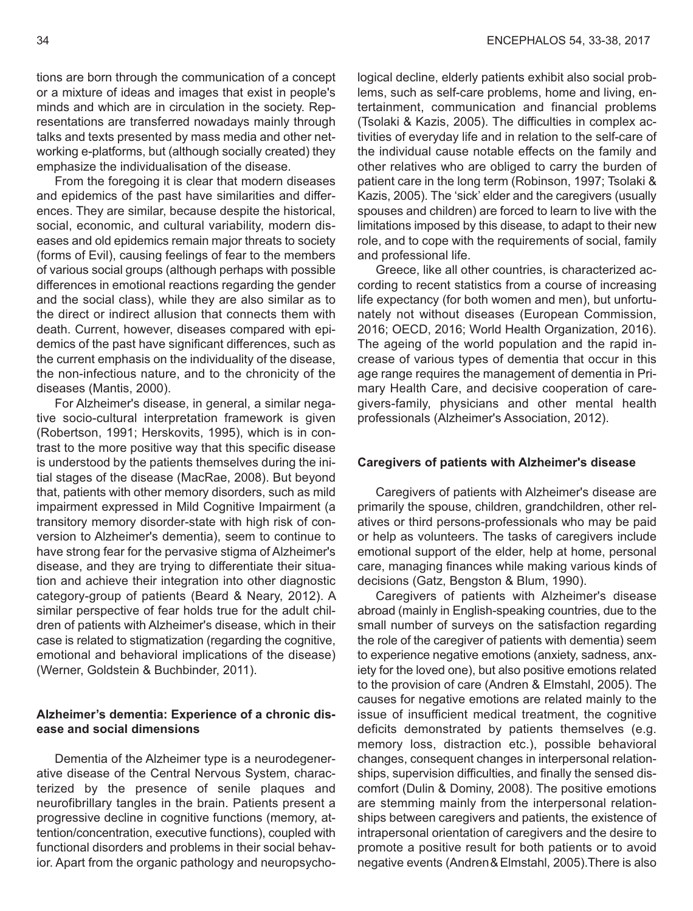tions are born through the communication of a concept or a mixture of ideas and images that exist in people's minds and which are in circulation in the society. Representations are transferred nowadays mainly through talks and texts presented by mass media and other networking e-platforms, but (although socially created) they emphasize the individualisation of the disease.

From the foregoing it is clear that modern diseases and epidemics of the past have similarities and differences. They are similar, because despite the historical, social, economic, and cultural variability, modern diseases and old epidemics remain major threats to society (forms of Evil), causing feelings of fear to the members of various social groups (although perhaps with possible differences in emotional reactions regarding the gender and the social class), while they are also similar as to the direct or indirect allusion that connects them with death. Current, however, diseases compared with epidemics of the past have significant differences, such as the current emphasis on the individuality of the disease, the non-infectious nature, and to the chronicity of the diseases (Mantis, 2000).

For Alzheimer's disease, in general, a similar negative socio-cultural interpretation framework is given (Robertson, 1991; Herskovits, 1995), which is in contrast to the more positive way that this specific disease is understood by the patients themselves during the initial stages of the disease (MacRae, 2008). But beyond that, patients with other memory disorders, such as mild impairment expressed in Mild Cognitive Impairment (a transitory memory disorder-state with high risk of conversion to Alzheimer's dementia), seem to continue to have strong fear for the pervasive stigma of Alzheimer's disease, and they are trying to differentiate their situation and achieve their integration into other diagnostic category-group of patients (Beard & Neary, 2012). A similar perspective of fear holds true for the adult children of patients with Alzheimer's disease, which in their case is related to stigmatization (regarding the cognitive, emotional and behavioral implications of the disease) (Werner, Goldstein & Buchbinder, 2011).

# **Alzheimer's dementia: Experience of a chronic disease and social dimensions**

Dementia of the Alzheimer type is a neurodegenerative disease of the Central Nervous System, characterized by the presence of senile plaques and neurofibrillary tangles in the brain. Patients present a progressive decline in cognitive functions (memory, attention/concentration, executive functions), coupled with functional disorders and problems in their social behavior. Apart from the organic pathology and neuropsychological decline, elderly patients exhibit also social problems, such as self-care problems, home and living, entertainment, communication and financial problems (Tsolaki & Kazis, 2005). The difficulties in complex activities of everyday life and in relation to the self-care of the individual cause notable effects on the family and other relatives who are obliged to carry the burden of patient care in the long term (Robinson, 1997; Tsolaki & Kazis, 2005). The 'sick' elder and the caregivers (usually spouses and children) are forced to learn to live with the limitations imposed by this disease, to adapt to their new role, and to cope with the requirements of social, family and professional life.

Greece, like all other countries, is characterized according to recent statistics from a course of increasing life expectancy (for both women and men), but unfortunately not without diseases (European Commission, 2016; OECD, 2016; World Health Organization, 2016). The ageing of the world population and the rapid increase of various types of dementia that occur in this age range requires the management of dementia in Primary Health Care, and decisive cooperation of caregivers-family, physicians and other mental health professionals (Alzheimer's Association, 2012).

#### **Caregivers of patients with Alzheimer's disease**

Caregivers of patients with Alzheimer's disease are primarily the spouse, children, grandchildren, other relatives or third persons-professionals who may be paid or help as volunteers. The tasks of caregivers include emotional support of the elder, help at home, personal care, managing finances while making various kinds of decisions (Gatz, Bengston & Blum, 1990).

Caregivers of patients with Alzheimer's disease abroad (mainly in English-speaking countries, due to the small number of surveys on the satisfaction regarding the role of the caregiver of patients with dementia) seem to experience negative emotions (anxiety, sadness, anxiety for the loved one), but also positive emotions related to the provision of care (Andren & Elmstahl, 2005). The causes for negative emotions are related mainly to the issue of insufficient medical treatment, the cognitive deficits demonstrated by patients themselves (e.g. memory loss, distraction etc.), possible behavioral changes, consequent changes in interpersonal relationships, supervision difficulties, and finally the sensed discomfort (Dulin & Dominy, 2008). The positive emotions are stemming mainly from the interpersonal relationships between caregivers and patients, the existence of intrapersonal orientation of caregivers and the desire to promote a positive result for both patients or to avoid negative events (Andren&Elmstahl, 2005).There is also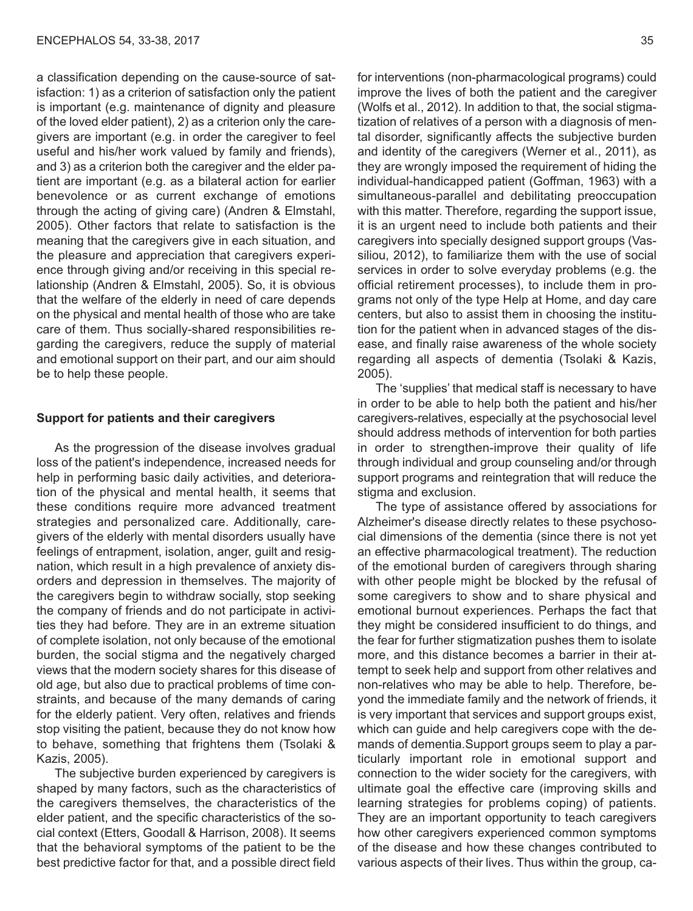a classification depending on the cause-source of satisfaction: 1) as a criterion of satisfaction only the patient is important (e.g. maintenance of dignity and pleasure of the loved elder patient), 2) as a criterion only the caregivers are important (e.g. in order the caregiver to feel useful and his/her work valued by family and friends), and 3) as a criterion both the caregiver and the elder patient are important (e.g. as a bilateral action for earlier benevolence or as current exchange of emotions through the acting of giving care) (Andren & Elmstahl, 2005). Other factors that relate to satisfaction is the meaning that the caregivers give in each situation, and the pleasure and appreciation that caregivers experience through giving and/or receiving in this special relationship (Andren & Elmstahl, 2005). So, it is obvious that the welfare of the elderly in need of care depends on the physical and mental health of those who are take care of them. Thus socially-shared responsibilities regarding the caregivers, reduce the supply of material and emotional support on their part, and our aim should be to help these people.

#### **Support for patients and their caregivers**

As the progression of the disease involves gradual loss of the patient's independence, increased needs for help in performing basic daily activities, and deterioration of the physical and mental health, it seems that these conditions require more advanced treatment strategies and personalized care. Additionally, caregivers of the elderly with mental disorders usually have feelings of entrapment, isolation, anger, guilt and resignation, which result in a high prevalence of anxiety disorders and depression in themselves. The majority of the caregivers begin to withdraw socially, stop seeking the company of friends and do not participate in activities they had before. They are in an extreme situation of complete isolation, not only because of the emotional burden, the social stigma and the negatively charged views that the modern society shares for this disease of old age, but also due to practical problems of time constraints, and because of the many demands of caring for the elderly patient. Very often, relatives and friends stop visiting the patient, because they do not know how to behave, something that frightens them (Tsolaki & Kazis, 2005).

The subjective burden experienced by caregivers is shaped by many factors, such as the characteristics of the caregivers themselves, the characteristics of the elder patient, and the specific characteristics of the social context (Etters, Goodall & Harrison, 2008). It seems that the behavioral symptoms of the patient to be the best predictive factor for that, and a possible direct field

for interventions (non-pharmacological programs) could improve the lives of both the patient and the caregiver (Wolfs et al., 2012). In addition to that, the social stigmatization of relatives of a person with a diagnosis of mental disorder, significantly affects the subjective burden and identity of the caregivers (Werner et al., 2011), as they are wrongly imposed the requirement of hiding the individual-handicapped patient (Goffman, 1963) with a simultaneous-parallel and debilitating preoccupation with this matter. Therefore, regarding the support issue, it is an urgent need to include both patients and their caregivers into specially designed support groups (Vassiliou, 2012), to familiarize them with the use of social services in order to solve everyday problems (e.g. the official retirement processes), to include them in programs not only of the type Help at Home, and day care centers, but also to assist them in choosing the institution for the patient when in advanced stages of the disease, and finally raise awareness of the whole society regarding all aspects of dementia (Tsolaki & Kazis, 2005).

The 'supplies' that medical staff is necessary to have in order to be able to help both the patient and his/her caregivers-relatives, especially at the psychosocial level should address methods of intervention for both parties in order to strengthen-improve their quality of life through individual and group counseling and/or through support programs and reintegration that will reduce the stigma and exclusion.

The type of assistance offered by associations for Alzheimer's disease directly relates to these psychosocial dimensions of the dementia (since there is not yet an effective pharmacological treatment). The reduction of the emotional burden of caregivers through sharing with other people might be blocked by the refusal of some caregivers to show and to share physical and emotional burnout experiences. Perhaps the fact that they might be considered insufficient to do things, and the fear for further stigmatization pushes them to isolate more, and this distance becomes a barrier in their attempt to seek help and support from other relatives and non-relatives who may be able to help. Therefore, beyond the immediate family and the network of friends, it is very important that services and support groups exist, which can guide and help caregivers cope with the demands of dementia.Support groups seem to play a particularly important role in emotional support and connection to the wider society for the caregivers, with ultimate goal the effective care (improving skills and learning strategies for problems coping) of patients. They are an important opportunity to teach caregivers how other caregivers experienced common symptoms of the disease and how these changes contributed to various aspects of their lives. Thus within the group, ca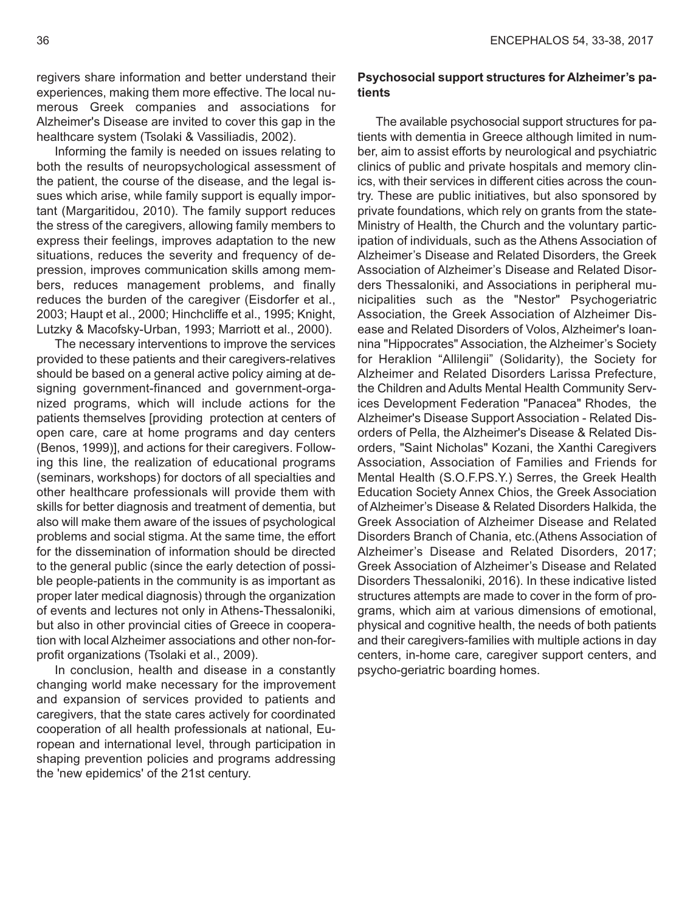regivers share information and better understand their experiences, making them more effective. The local numerous Greek companies and associations for Alzheimer's Disease are invited to cover this gap in the healthcare system (Tsolaki & Vassiliadis, 2002).

Informing the family is needed on issues relating to both the results of neuropsychological assessment of the patient, the course of the disease, and the legal issues which arise, while family support is equally important (Margaritidou, 2010). The family support reduces the stress of the caregivers, allowing family members to express their feelings, improves adaptation to the new situations, reduces the severity and frequency of depression, improves communication skills among members, reduces management problems, and finally reduces the burden of the caregiver (Eisdorfer et al., 2003; Haupt et al., 2000; Hinchcliffe et al., 1995; Knight, Lutzky & Macofsky-Urban, 1993; Marriott et al., 2000).

The necessary interventions to improve the services provided to these patients and their caregivers-relatives should be based on a general active policy aiming at designing government-financed and government-organized programs, which will include actions for the patients themselves [providing protection at centers of open care, care at home programs and day centers (Benos, 1999)], and actions for their caregivers. Following this line, the realization of educational programs (seminars, workshops) for doctors of all specialties and other healthcare professionals will provide them with skills for better diagnosis and treatment of dementia, but also will make them aware of the issues of psychological problems and social stigma. At the same time, the effort for the dissemination of information should be directed to the general public (since the early detection of possible people-patients in the community is as important as proper later medical diagnosis) through the organization of events and lectures not only in Athens-Thessaloniki, but also in other provincial cities of Greece in cooperation with local Alzheimer associations and other non-forprofit organizations (Tsolaki et al., 2009).

In conclusion, health and disease in a constantly changing world make necessary for the improvement and expansion of services provided to patients and caregivers, that the state cares actively for coordinated cooperation of all health professionals at national, European and international level, through participation in shaping prevention policies and programs addressing the 'new epidemics' of the 21st century.

## **Psychosocial support structures for Alzheimer's patients**

The available psychosocial support structures for patients with dementia in Greece although limited in number, aim to assist efforts by neurological and psychiatric clinics of public and private hospitals and memory clinics, with their services in different cities across the country. These are public initiatives, but also sponsored by private foundations, which rely on grants from the state-Ministry of Health, the Church and the voluntary participation of individuals, such as the Athens Association of Alzheimer's Disease and Related Disorders, the Greek Association of Alzheimer's Disease and Related Disorders Thessaloniki, and Associations in peripheral municipalities such as the "Nestor" Psychogeriatric Association, the Greek Association of Alzheimer Disease and Related Disorders of Volos, Alzheimer's Ioannina "Hippocrates" Association, the Alzheimer's Society for Heraklion "Allilengii" (Solidarity), the Society for Alzheimer and Related Disorders Larissa Prefecture, the Children and Adults Mental Health Community Services Development Federation "Panacea" Rhodes, the Alzheimer's Disease Support Association - Related Disorders of Pella, the Alzheimer's Disease & Related Disorders, "Saint Nicholas" Kozani, the Xanthi Caregivers Association, Association of Families and Friends for Mental Health (S.O.F.PS.Y.) Serres, the Greek Health Education Society Annex Chios, the Greek Association of Alzheimer's Disease & Related Disorders Halkida, the Greek Association of Alzheimer Disease and Related Disorders Branch of Chania, etc.(Athens Association of Alzheimer's Disease and Related Disorders, 2017; Greek Association of Alzheimer's Disease and Related Disorders Thessaloniki, 2016). In these indicative listed structures attempts are made to cover in the form of programs, which aim at various dimensions of emotional, physical and cognitive health, the needs of both patients and their caregivers-families with multiple actions in day centers, in-home care, caregiver support centers, and psycho-geriatric boarding homes.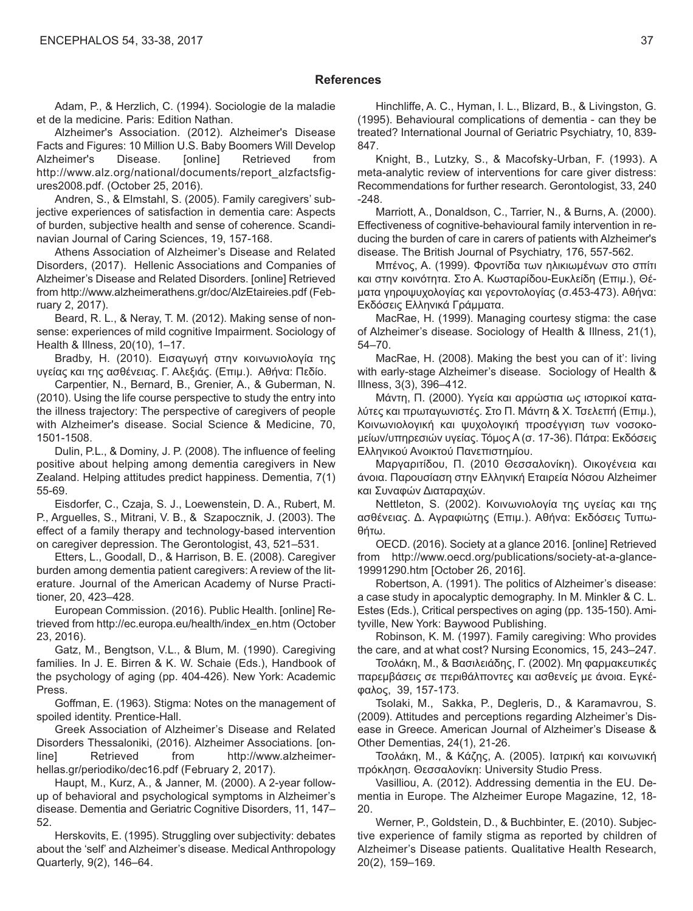#### **References**

Adam, P., & Herzlich, C. (1994). Sociologie de la maladie et de la medicine. Paris: Edition Nathan.

Alzheimer's Association. (2012). Alzheimer's Disease Facts and Figures: 10 Million U.S. Baby Boomers Will Develop Alzheimer's Disease. [online] Retrieved from http://www.alz.org/national/documents/report\_alzfactsfigures2008.pdf. (October 25, 2016).

Andren, S., & Elmstahl, S. (2005). Family caregivers' subjective experiences of satisfaction in dementia care: Aspects of burden, subjective health and sense of coherence. Scandinavian Journal of Caring Sciences, 19, 157-168.

Athens Association of Alzheimer's Disease and Related Disorders, (2017). Hellenic Associations and Companies of Alzheimer's Disease and Related Disorders. [online] Retrieved from http://www.alzheimerathens.gr/doc/AlzEtaireies.pdf (February 2, 2017).

Beard, R. L., & Neray, T. M. (2012). Making sense of nonsense: experiences of mild cognitive Impairment. Sociology of Health & Illness, 20(10), 1–17.

Bradby, H. (2010). Εισαγωγή στην κοινωνιολογία της υγείας και της ασθένειας. Γ. Αλεξιάς. (Επιμ.). Αθήνα: Πεδίο.

Carpentier, N., Bernard, B., Grenier, A., & Guberman, N. (2010). Using the life course perspective to study the entry into the illness trajectory: The perspective of caregivers of people with Alzheimer's disease. Social Science & Medicine, 70, 1501-1508.

Dulin, P.L., & Dominy, J. P. (2008). The influence of feeling positive about helping among dementia caregivers in New Zealand. Helping attitudes predict happiness. Dementia, 7(1) 55-69.

Eisdorfer, C., Czaja, S. J., Loewenstein, D. A., Rubert, M. P., Arguelles, S., Mitrani, V. B., & Szapocznik, J. (2003). The effect of a family therapy and technology-based intervention on caregiver depression. The Gerontologist, 43, 521–531.

Etters, L., Goodall, D., & Harrison, B. E. (2008). Caregiver burden among dementia patient caregivers: A review of the literature. Journal of the American Academy of Nurse Practitioner, 20, 423–428.

European Commission. (2016). Public Health. [online] Retrieved from http://ec.europa.eu/health/index\_en.htm (October 23, 2016).

Gatz, M., Bengtson, V.L., & Blum, M. (1990). Caregiving families. In J. E. Birren & K. W. Schaie (Eds.), Handbook of the psychology of aging (pp. 404-426). New York: Academic Press.

Goffman, E. (1963). Stigma: Notes on the management of spoiled identity. Prentice-Hall.

Greek Association of Alzheimer's Disease and Related Disorders Thessaloniki, (2016). Alzheimer Associations. [online] Retrieved from http://www.alzheimerhellas.gr/periodiko/dec16.pdf (February 2, 2017).

Haupt, M., Kurz, A., & Janner, M. (2000). A 2-year followup of behavioral and psychological symptoms in Alzheimer's disease. Dementia and Geriatric Cognitive Disorders, 11, 147– 52.

Herskovits, E. (1995). Struggling over subjectivity: debates about the 'self' and Alzheimer's disease. Medical Anthropology Quarterly, 9(2), 146–64.

Hinchliffe, A. C., Hyman, I. L., Blizard, B., & Livingston, G. (1995). Behavioural complications of dementia - can they be treated? International Journal of Geriatric Psychiatry, 10, 839- 847.

Knight, B., Lutzky, S., & Macofsky-Urban, F. (1993). A meta-analytic review of interventions for care giver distress: Recommendations for further research. Gerontologist, 33, 240 -248.

Marriott, A., Donaldson, C., Tarrier, N., & Burns, A. (2000). Effectiveness of cognitive-behavioural family intervention in reducing the burden of care in carers of patients with Alzheimer's disease. The British Journal of Psychiatry, 176, 557-562.

Μπένος, Α. (1999). Φροντίδα των ηλικιωμένων στο σπίτι και στην κοινότητα. Στο Α. Κωσταρίδου-Ευκλείδη (Επιμ.), Θέματα γηροψυχολογίας και γεροντολογίας (σ.453-473). Αθήνα: Εκδόσεις Ελληνικά Γράμματα.

MacRae, H. (1999). Managing courtesy stigma: the case of Alzheimer's disease. Sociology of Health & Illness, 21(1), 54–70.

MacRae, H. (2008). Making the best you can of it': living with early-stage Alzheimer's disease. Sociology of Health & Illness, 3(3), 396–412.

Μάντη, Π. (2000). Υγεία και αρρώστια ως ιστορικοί καταλύτες και πρωταγωνιστές. Στο Π. Μάντη & Χ. Τσελεπή (Επιμ.), Κοινωνιολογική και ψυχολογική προσέγγιση των νοσοκομείων/υπηρεσιών υγείας. Τόμος Α (σ. 17-36). Πάτρα: Εκδόσεις Ελληνικού Ανοικτού Πανεπιστημίου.

Μαργαριτίδου, Π. (2010 Θεσσαλονίκη). Οικογένεια και άνοια. Παρουσίαση στην Ελληνική Εταιρεία Νόσου Alzheimer και Συναφών Διαταραχών.

Nettleton, S. (2002). Κοινωνιολογία της υγείας και της ασθένειας. Δ. Αγραφιώτης (Επιμ.). Αθήνα: Εκδόσεις Τυπωθήτω.

OECD. (2016). Society at a glance 2016. [online] Retrieved from http://www.oecd.org/publications/society-at-a-glance-19991290.htm [October 26, 2016].

Robertson, A. (1991). The politics of Alzheimer's disease: a case study in apocalyptic demography. In M. Minkler & C. L. Estes (Εds.), Critical perspectives on aging (pp. 135-150). Amityville, New York: Baywood Publishing.

Robinson, K. M. (1997). Family caregiving: Who provides the care, and at what cost? Nursing Economics, 15, 243–247.

Τσολάκη, Μ., & Βασιλειάδης, Γ. (2002). Μη φαρμακευτικές παρεμβάσεις σε περιθάλποντες και ασθενείς με άνοια. Εγκέφαλος, 39, 157-173.

Tsolaki, M., Sakka, P., Degleris, D., & Karamavrou, S. (2009). Attitudes and perceptions regarding Alzheimer's Disease in Greece. American Journal of Alzheimer's Disease & Other Dementias, 24(1), 21-26.

Τσολάκη, Μ., & Κάζης, Α. (2005). Ιατρική και κοινωνική πρόκληση. Θεσσαλονίκη: University Studio Press.

Vasilliou, A. (2012). Addressing dementia in the EU. Dementia in Europe. The Alzheimer Europe Magazine, 12, 18- 20.

Werner, P., Goldstein, D., & Buchbinter, E. (2010). Subjective experience of family stigma as reported by children of Alzheimer's Disease patients. Qualitative Health Research, 20(2), 159–169.